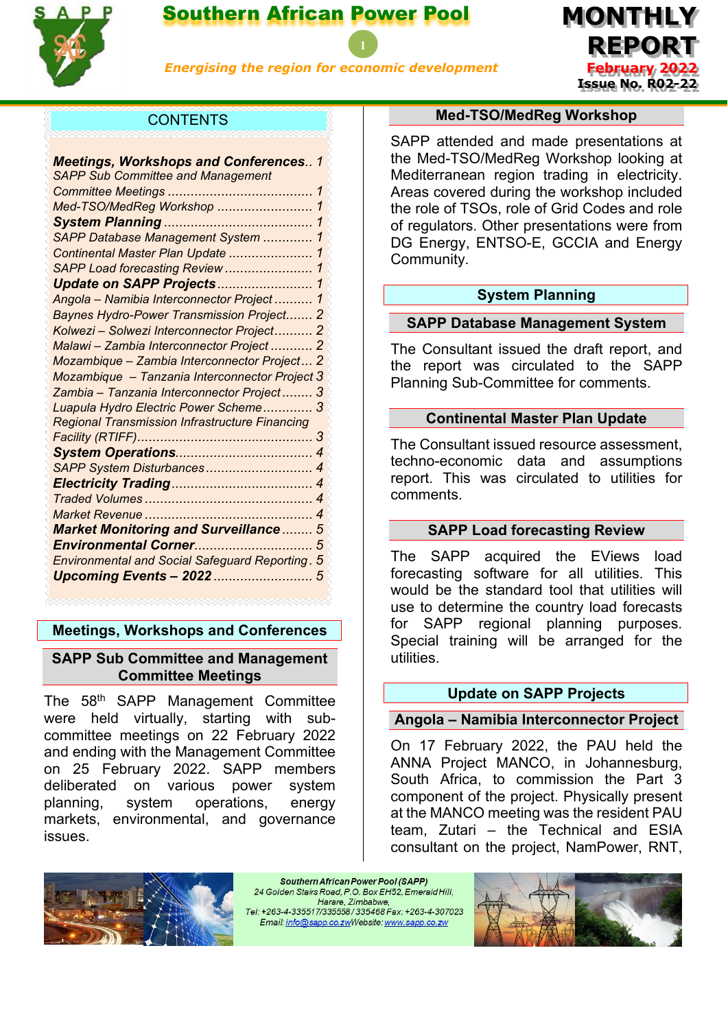

# Southern African Power Pool

*Energising the region for economic development*



# **CONTENTS**

| <b>Meetings, Workshops and Conferences 1</b>          |                            |
|-------------------------------------------------------|----------------------------|
| <b>SAPP Sub Committee and Management</b>              |                            |
|                                                       | 1                          |
| Med-TSO/MedReg Workshop                               | 1                          |
|                                                       | 1                          |
| SAPP Database Management System                       | 1                          |
| Continental Master Plan Update                        | 1                          |
| SAPP Load forecasting Review                          | 1                          |
| Update on SAPP Projects                               | 1                          |
| Angola - Namibia Interconnector Project  1            |                            |
| Baynes Hydro-Power Transmission Project 2             |                            |
| Kolwezi - Solwezi Interconnector Project 2            |                            |
| Malawi - Zambia Interconnector Project  2             |                            |
| Mozambique - Zambia Interconnector Project 2          |                            |
| Mozambique - Tanzania Interconnector Project 3        |                            |
| Zambia - Tanzania Interconnector Project 3            |                            |
| Luapula Hydro Electric Power Scheme 3                 |                            |
| <b>Regional Transmission Infrastructure Financing</b> |                            |
|                                                       | 3                          |
|                                                       | $\overline{4}$             |
| SAPP System Disturbances                              | 4                          |
|                                                       | 4                          |
|                                                       | $\boldsymbol{\mathcal{A}}$ |
|                                                       | 4                          |
| <b>Market Monitoring and Surveillance</b>             | 5                          |
| Environmental Corner                                  | 5                          |
| Environmental and Social Safeguard Reporting. 5       |                            |
| Upcoming Events - 2022  5                             |                            |
|                                                       |                            |

# <span id="page-0-0"></span>**Meetings, Workshops and Conferences**

### <span id="page-0-1"></span>**SAPP Sub Committee and Management Committee Meetings**

The 58<sup>th</sup> SAPP Management Committee were held virtually, starting with subcommittee meetings on 22 February 2022 and ending with the Management Committee on 25 February 2022. SAPP members deliberated on various power system planning, system operations, energy markets, environmental, and governance issues.

#### **Med-TSO/MedReg Workshop**

<span id="page-0-2"></span>SAPP attended and made presentations at the Med-TSO/MedReg Workshop looking at Mediterranean region trading in electricity. Areas covered during the workshop included the role of TSOs, role of Grid Codes and role of regulators. Other presentations were from DG Energy, ENTSO-E, GCCIA and Energy Community.

### **System Planning**

### <span id="page-0-4"></span><span id="page-0-3"></span>**SAPP Database Management System**

The Consultant issued the draft report, and the report was circulated to the SAPP Planning Sub-Committee for comments.

#### **Continental Master Plan Update**

<span id="page-0-5"></span>The Consultant issued resource assessment, techno-economic data and assumptions report. This was circulated to utilities for comments.

#### **SAPP Load forecasting Review**

<span id="page-0-6"></span>The SAPP acquired the EViews load forecasting software for all utilities. This would be the standard tool that utilities will use to determine the country load forecasts for SAPP regional planning purposes. Special training will be arranged for the utilities.

#### **Update on SAPP Projects**

#### <span id="page-0-8"></span><span id="page-0-7"></span>**Angola – Namibia Interconnector Project**

On 17 February 2022, the PAU held the ANNA Project MANCO, in Johannesburg, South Africa, to commission the Part 3 component of the project. Physically present at the MANCO meeting was the resident PAU team, Zutari – the Technical and ESIA consultant on the project, NamPower, RNT,



Southern African Power Pool (SAPP) 24 Golden Stairs Road, P.O. Box EH52, Emerald Hill, Harare, Zimbabwe, Tel: +263-4-335517/335558/335468 Fax: +263-4-307023 Email: info@sapp.co.zwWebsite: www.sapp.co.zw

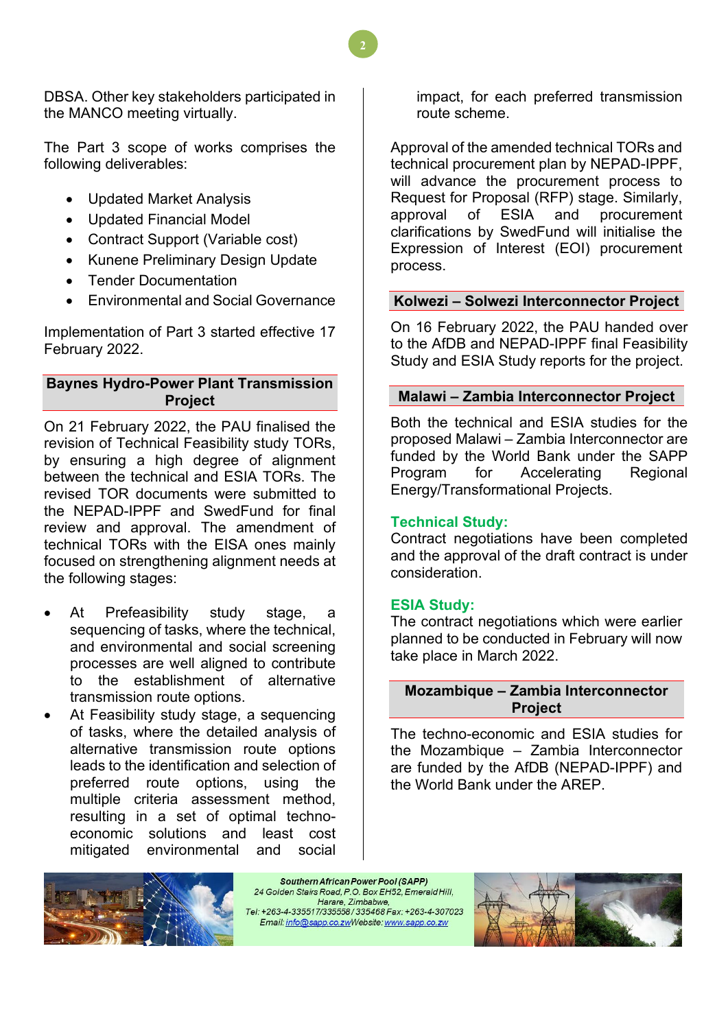DBSA. Other key stakeholders participated in the MANCO meeting virtually.

The Part 3 scope of works comprises the following deliverables:

- Updated Market Analysis
- Updated Financial Model
- Contract Support (Variable cost)
- Kunene Preliminary Design Update
- Tender Documentation
- Environmental and Social Governance

Implementation of Part 3 started effective 17 February 2022.

# <span id="page-1-0"></span>**Baynes Hydro-Power Plant Transmission Project**

On 21 February 2022, the PAU finalised the revision of Technical Feasibility study TORs, by ensuring a high degree of alignment between the technical and ESIA TORs. The revised TOR documents were submitted to the NEPAD-IPPF and SwedFund for final review and approval. The amendment of technical TORs with the EISA ones mainly focused on strengthening alignment needs at the following stages:

- At Prefeasibility study stage, a sequencing of tasks, where the technical, and environmental and social screening processes are well aligned to contribute to the establishment of alternative transmission route options.
- At Feasibility study stage, a sequencing of tasks, where the detailed analysis of alternative transmission route options leads to the identification and selection of preferred route options, using the multiple criteria assessment method, resulting in a set of optimal technoeconomic solutions and least cost mitigated environmental and social

impact, for each preferred transmission route scheme.

Approval of the amended technical TORs and technical procurement plan by NEPAD-IPPF, will advance the procurement process to Request for Proposal (RFP) stage. Similarly,<br>approval of ESIA and procurement approval of ESIA and procurement clarifications by SwedFund will initialise the Expression of Interest (EOI) procurement process.

### <span id="page-1-1"></span>**Kolwezi – Solwezi Interconnector Project**

On 16 February 2022, the PAU handed over to the AfDB and NEPAD-IPPF final Feasibility Study and ESIA Study reports for the project.

### <span id="page-1-2"></span>**Malawi – Zambia Interconnector Project**

Both the technical and ESIA studies for the proposed Malawi – Zambia Interconnector are funded by the World Bank under the SAPP Program for Accelerating Regional Energy/Transformational Projects.

# **Technical Study:**

Contract negotiations have been completed and the approval of the draft contract is under consideration.

### **ESIA Study:**

The contract negotiations which were earlier planned to be conducted in February will now take place in March 2022.

### <span id="page-1-3"></span>**Mozambique – Zambia Interconnector Project**

The techno-economic and ESIA studies for the Mozambique – Zambia Interconnector are funded by the AfDB (NEPAD-IPPF) and the World Bank under the AREP.



Southern African Power Pool (SAPP) 24 Golden Stairs Road, P.O. Box EH52, Emerald Hill, Harare, Zimbabwe, Tel: +263-4-335517/335558/335468 Fax: +263-4-307023 Email: info@sapp.co.zwWebsite: www.sapp.co.zw

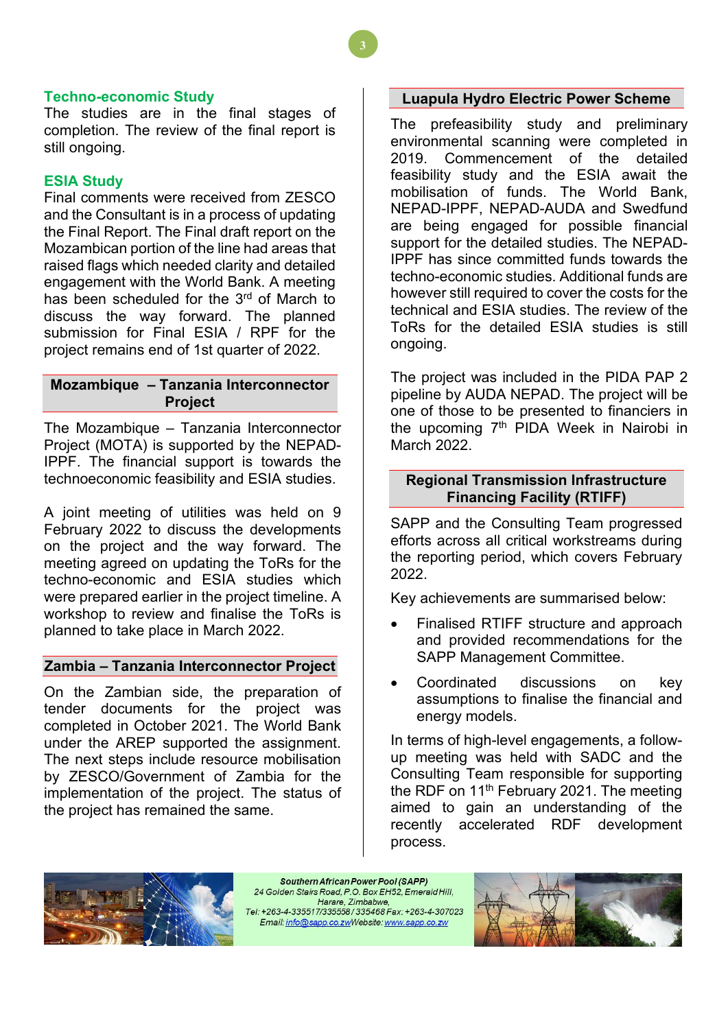#### **Techno-economic Study**

The studies are in the final stages of completion. The review of the final report is still ongoing.

### **ESIA Study**

Final comments were received from ZESCO and the Consultant is in a process of updating the Final Report. The Final draft report on the Mozambican portion of the line had areas that raised flags which needed clarity and detailed engagement with the World Bank. A meeting has been scheduled for the  $3<sup>rd</sup>$  of March to discuss the way forward. The planned submission for Final ESIA / RPF for the project remains end of 1st quarter of 2022.

### <span id="page-2-0"></span>**Mozambique – Tanzania Interconnector Project**

The Mozambique – Tanzania Interconnector Project (MOTA) is supported by the NEPAD-IPPF. The financial support is towards the technoeconomic feasibility and ESIA studies.

A joint meeting of utilities was held on 9 February 2022 to discuss the developments on the project and the way forward. The meeting agreed on updating the ToRs for the techno-economic and ESIA studies which were prepared earlier in the project timeline. A workshop to review and finalise the ToRs is planned to take place in March 2022.

### <span id="page-2-1"></span>**Zambia – Tanzania Interconnector Project**

On the Zambian side, the preparation of tender documents for the project was completed in October 2021. The World Bank under the AREP supported the assignment. The next steps include resource mobilisation by ZESCO/Government of Zambia for the implementation of the project. The status of the project has remained the same.

#### <span id="page-2-2"></span>**Luapula Hydro Electric Power Scheme**

The prefeasibility study and preliminary environmental scanning were completed in 2019. Commencement of the detailed feasibility study and the ESIA await the mobilisation of funds. The World Bank, NEPAD-IPPF, NEPAD-AUDA and Swedfund are being engaged for possible financial support for the detailed studies. The NEPAD-IPPF has since committed funds towards the techno-economic studies. Additional funds are however still required to cover the costs for the technical and ESIA studies. The review of the ToRs for the detailed ESIA studies is still ongoing.

The project was included in the PIDA PAP 2 pipeline by AUDA NEPAD. The project will be one of those to be presented to financiers in the upcoming  $7<sup>th</sup>$  PIDA Week in Nairobi in March 2022.

### <span id="page-2-3"></span>**Regional Transmission Infrastructure Financing Facility (RTIFF)**

SAPP and the Consulting Team progressed efforts across all critical workstreams during the reporting period, which covers February 2022.

Key achievements are summarised below:

- Finalised RTIFF structure and approach and provided recommendations for the SAPP Management Committee.
- Coordinated discussions on key assumptions to finalise the financial and energy models.

In terms of high-level engagements, a followup meeting was held with SADC and the Consulting Team responsible for supporting the RDF on 11<sup>th</sup> February 2021. The meeting aimed to gain an understanding of the recently accelerated RDF development process.



Southern African Power Pool (SAPP) 24 Golden Stairs Road, P.O. Box EH52, Emerald Hill, Harare, Zimbabwe, Tel: +263-4-335517/335558/335468 Fax: +263-4-307023 Email: info@sapp.co.zwWebsite: www.sapp.co.zw

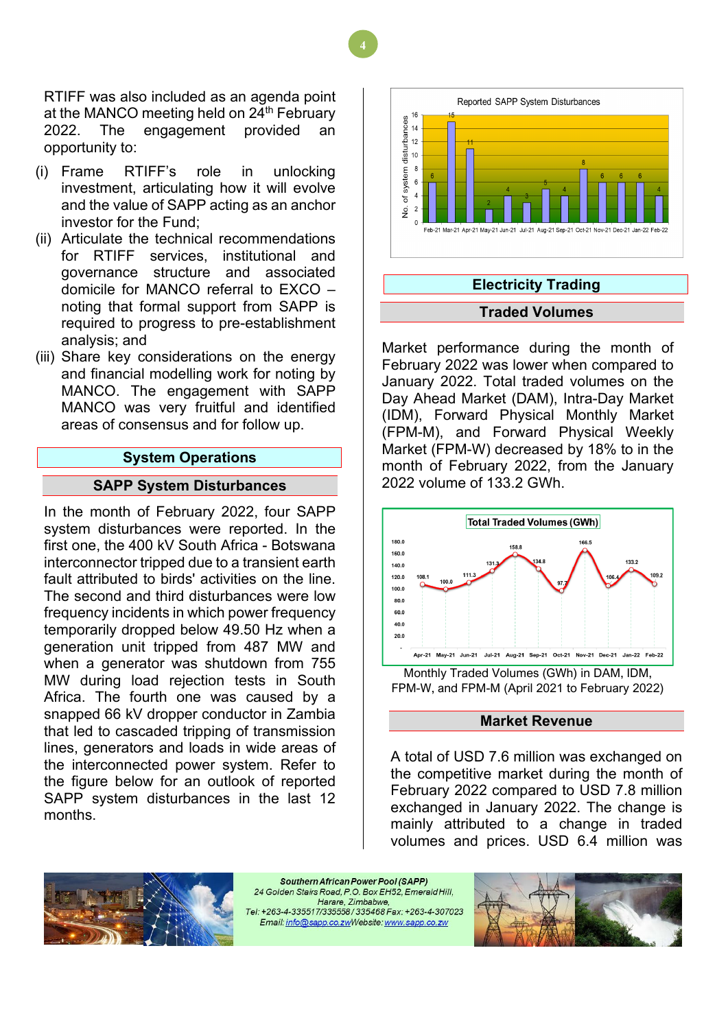RTIFF was also included as an agenda point at the MANCO meeting held on 24<sup>th</sup> February 2022. The engagement provided an opportunity to:

- (i) Frame RTIFF's role in unlocking investment, articulating how it will evolve and the value of SAPP acting as an anchor investor for the Fund;
- (ii) Articulate the technical recommendations for RTIFF services, institutional and governance structure and associated domicile for MANCO referral to EXCO – noting that formal support from SAPP is required to progress to pre-establishment analysis; and
- (iii) Share key considerations on the energy and financial modelling work for noting by MANCO. The engagement with SAPP MANCO was very fruitful and identified areas of consensus and for follow up.

#### **System Operations**

#### <span id="page-3-0"></span>**SAPP System Disturbances**

<span id="page-3-1"></span>In the month of February 2022, four SAPP system disturbances were reported. In the first one, the 400 kV South Africa - Botswana interconnector tripped due to a transient earth fault attributed to birds' activities on the line. The second and third disturbances were low frequency incidents in which power frequency temporarily dropped below 49.50 Hz when a generation unit tripped from 487 MW and when a generator was shutdown from 755 MW during load rejection tests in South Africa. The fourth one was caused by a snapped 66 kV dropper conductor in Zambia that led to cascaded tripping of transmission lines, generators and loads in wide areas of the interconnected power system. Refer to the figure below for an outlook of reported SAPP system disturbances in the last 12 months.



<span id="page-3-3"></span><span id="page-3-2"></span>Market performance during the month of February 2022 was lower when compared to January 2022. Total traded volumes on the Day Ahead Market (DAM), Intra-Day Market (IDM), Forward Physical Monthly Market (FPM-M), and Forward Physical Weekly Market (FPM-W) decreased by 18% to in the month of February 2022, from the January 2022 volume of 133.2 GWh.



#### **Market Revenue**

<span id="page-3-4"></span>A total of USD 7.6 million was exchanged on the competitive market during the month of February 2022 compared to USD 7.8 million exchanged in January 2022. The change is mainly attributed to a change in traded volumes and prices. USD 6.4 million was



Southern African Power Pool (SAPP) 24 Golden Stairs Road, P.O. Box EH52, Emerald Hill. Harare, Zimbabwe, Email: info@sapp.co.zwWebsite: www.sapp.co.zw